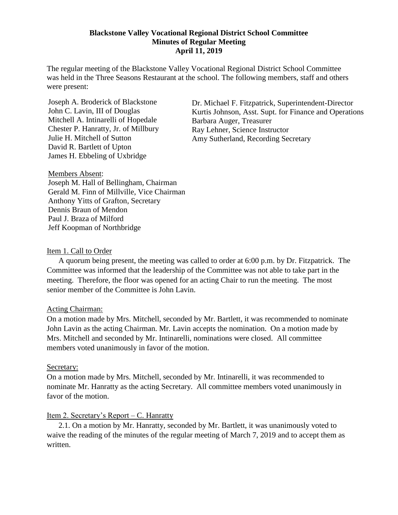#### **Blackstone Valley Vocational Regional District School Committee Minutes of Regular Meeting April 11, 2019**

The regular meeting of the Blackstone Valley Vocational Regional District School Committee was held in the Three Seasons Restaurant at the school. The following members, staff and others were present:

Joseph A. Broderick of Blackstone John C. Lavin, III of Douglas Mitchell A. Intinarelli of Hopedale Chester P. Hanratty, Jr. of Millbury Julie H. Mitchell of Sutton David R. Bartlett of Upton James H. Ebbeling of Uxbridge

Dr. Michael F. Fitzpatrick, Superintendent-Director Kurtis Johnson, Asst. Supt. for Finance and Operations Barbara Auger, Treasurer Ray Lehner, Science Instructor Amy Sutherland, Recording Secretary

Members Absent: Joseph M. Hall of Bellingham, Chairman Gerald M. Finn of Millville, Vice Chairman Anthony Yitts of Grafton, Secretary Dennis Braun of Mendon Paul J. Braza of Milford Jeff Koopman of Northbridge

### Item 1. Call to Order

A quorum being present, the meeting was called to order at 6:00 p.m. by Dr. Fitzpatrick. The Committee was informed that the leadership of the Committee was not able to take part in the meeting. Therefore, the floor was opened for an acting Chair to run the meeting. The most senior member of the Committee is John Lavin.

### Acting Chairman:

On a motion made by Mrs. Mitchell, seconded by Mr. Bartlett, it was recommended to nominate John Lavin as the acting Chairman. Mr. Lavin accepts the nomination. On a motion made by Mrs. Mitchell and seconded by Mr. Intinarelli, nominations were closed. All committee members voted unanimously in favor of the motion.

### Secretary:

On a motion made by Mrs. Mitchell, seconded by Mr. Intinarelli, it was recommended to nominate Mr. Hanratty as the acting Secretary. All committee members voted unanimously in favor of the motion.

## Item 2. Secretary's Report – C. Hanratty

2.1. On a motion by Mr. Hanratty, seconded by Mr. Bartlett, it was unanimously voted to waive the reading of the minutes of the regular meeting of March 7, 2019 and to accept them as written.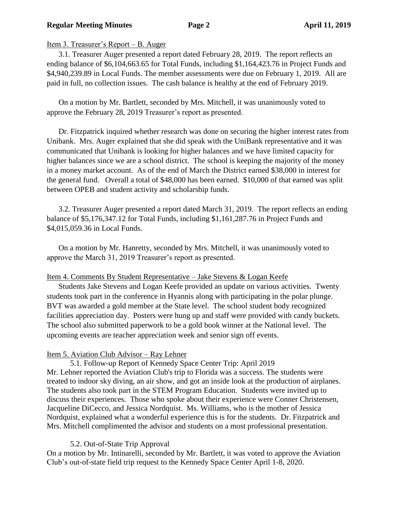## **Regular Meeting Minutes Page 2 April 11, 2019**

# Item 3. Treasurer's Report – B. Auger

3.1. Treasurer Auger presented a report dated February 28, 2019. The report reflects an ending balance of \$6,104,663.65 for Total Funds, including \$1,164,423.76 in Project Funds and \$4,940,239.89 in Local Funds. The member assessments were due on February 1, 2019. All are paid in full, no collection issues. The cash balance is healthy at the end of February 2019.

On a motion by Mr. Bartlett, seconded by Mrs. Mitchell, it was unanimously voted to approve the February 28, 2019 Treasurer's report as presented.

Dr. Fitzpatrick inquired whether research was done on securing the higher interest rates from Unibank. Mrs. Auger explained that she did speak with the UniBank representative and it was communicated that Unibank is looking for higher balances and we have limited capacity for higher balances since we are a school district. The school is keeping the majority of the money in a money market account. As of the end of March the District earned \$38,000 in interest for the general fund. Overall a total of \$48,000 has been earned. \$10,000 of that earned was split between OPEB and student activity and scholarship funds.

3.2. Treasurer Auger presented a report dated March 31, 2019. The report reflects an ending balance of \$5,176,347.12 for Total Funds, including \$1,161,287.76 in Project Funds and \$4,015,059.36 in Local Funds.

On a motion by Mr. Hanretty, seconded by Mrs. Mitchell, it was unanimously voted to approve the March 31, 2019 Treasurer's report as presented.

## Item 4. Comments By Student Representative – Jake Stevens & Logan Keefe

Students Jake Stevens and Logan Keefe provided an update on various activities. Twenty students took part in the conference in Hyannis along with participating in the polar plunge. BVT was awarded a gold member at the State level. The school student body recognized facilities appreciation day. Posters were hung up and staff were provided with candy buckets. The school also submitted paperwork to be a gold book winner at the National level. The upcoming events are teacher appreciation week and senior sign off events.

## Item 5. Aviation Club Advisor – Ray Lehner

5.1. Follow-up Report of Kennedy Space Center Trip: April 2019 Mr. Lehner reported the Aviation Club's trip to Florida was a success. The students were treated to indoor sky diving, an air show, and got an inside look at the production of airplanes. The students also took part in the STEM Program Education. Students were invited up to discuss their experiences. Those who spoke about their experience were Conner Christensen, Jacqueline DiCecco, and Jessica Nordquist. Ms. Williams, who is the mother of Jessica Nordquist, explained what a wonderful experience this is for the students. Dr. Fitzpatrick and Mrs. Mitchell complimented the advisor and students on a most professional presentation.

## 5.2. Out-of-State Trip Approval

On a motion by Mr. Intinarelli, seconded by Mr. Bartlett, it was voted to approve the Aviation Club's out-of-state field trip request to the Kennedy Space Center April 1-8, 2020.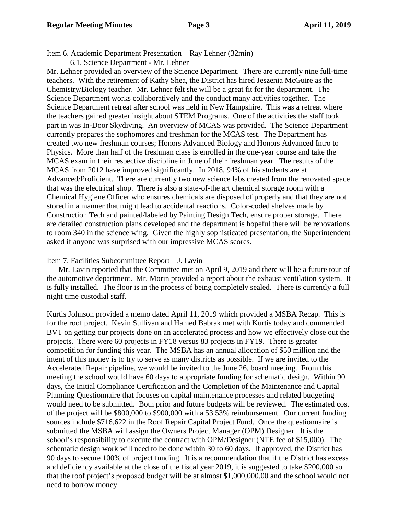## Item 6. Academic Department Presentation – Ray Lehner (32min)

6.1. Science Department - Mr. Lehner

Mr. Lehner provided an overview of the Science Department. There are currently nine full-time teachers. With the retirement of Kathy Shea, the District has hired Jeszenia McGuire as the Chemistry/Biology teacher. Mr. Lehner felt she will be a great fit for the department. The Science Department works collaboratively and the conduct many activities together. The Science Department retreat after school was held in New Hampshire. This was a retreat where the teachers gained greater insight about STEM Programs. One of the activities the staff took part in was In-Door Skydiving. An overview of MCAS was provided. The Science Department currently prepares the sophomores and freshman for the MCAS test. The Department has created two new freshman courses; Honors Advanced Biology and Honors Advanced Intro to Physics. More than half of the freshman class is enrolled in the one-year course and take the MCAS exam in their respective discipline in June of their freshman year. The results of the MCAS from 2012 have improved significantly. In 2018, 94% of his students are at Advanced/Proficient. There are currently two new science labs created from the renovated space that was the electrical shop. There is also a state-of-the art chemical storage room with a Chemical Hygiene Officer who ensures chemicals are disposed of properly and that they are not stored in a manner that might lead to accidental reactions. Color-coded shelves made by Construction Tech and painted/labeled by Painting Design Tech, ensure proper storage. There are detailed construction plans developed and the department is hopeful there will be renovations to room 340 in the science wing. Given the highly sophisticated presentation, the Superintendent asked if anyone was surprised with our impressive MCAS scores.

### Item 7. Facilities Subcommittee Report – J. Lavin

Mr. Lavin reported that the Committee met on April 9, 2019 and there will be a future tour of the automotive department. Mr. Morin provided a report about the exhaust ventilation system. It is fully installed. The floor is in the process of being completely sealed. There is currently a full night time custodial staff.

Kurtis Johnson provided a memo dated April 11, 2019 which provided a MSBA Recap. This is for the roof project. Kevin Sullivan and Hamed Babrak met with Kurtis today and commended BVT on getting our projects done on an accelerated process and how we effectively close out the projects. There were 60 projects in FY18 versus 83 projects in FY19. There is greater competition for funding this year. The MSBA has an annual allocation of \$50 million and the intent of this money is to try to serve as many districts as possible. If we are invited to the Accelerated Repair pipeline, we would be invited to the June 26, board meeting. From this meeting the school would have 60 days to appropriate funding for schematic design. Within 90 days, the Initial Compliance Certification and the Completion of the Maintenance and Capital Planning Questionnaire that focuses on capital maintenance processes and related budgeting would need to be submitted. Both prior and future budgets will be reviewed. The estimated cost of the project will be \$800,000 to \$900,000 with a 53.53% reimbursement. Our current funding sources include \$716,622 in the Roof Repair Capital Project Fund. Once the questionnaire is submitted the MSBA will assign the Owners Project Manager (OPM) Designer. It is the school's responsibility to execute the contract with OPM/Designer (NTE fee of \$15,000). The schematic design work will need to be done within 30 to 60 days. If approved, the District has 90 days to secure 100% of project funding. It is a recommendation that if the District has excess and deficiency available at the close of the fiscal year 2019, it is suggested to take \$200,000 so that the roof project's proposed budget will be at almost \$1,000,000.00 and the school would not need to borrow money.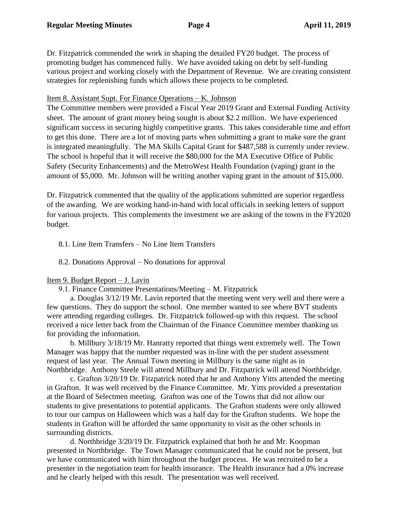Dr. Fitzpatrick commended the work in shaping the detailed FY20 budget. The process of promoting budget has commenced fully. We have avoided taking on debt by self-funding various project and working closely with the Department of Revenue. We are creating consistent strategies for replenishing funds which allows these projects to be completed.

# Item 8. Assistant Supt. For Finance Operations – K. Johnson

The Committee members were provided a Fiscal Year 2019 Grant and External Funding Activity sheet. The amount of grant money being sought is about \$2.2 million. We have experienced significant success in securing highly competitive grants. This takes considerable time and effort to get this done. There are a lot of moving parts when submitting a grant to make sure the grant is integrated meaningfully. The MA Skills Capital Grant for \$487,588 is currently under review. The school is hopeful that it will receive the \$80,000 for the MA Executive Office of Public Safety (Security Enhancements) and the MetroWest Health Foundation (vaping) grant in the amount of \$5,000. Mr. Johnson will be writing another vaping grant in the amount of \$15,000.

Dr. Fitzpatrick commented that the quality of the applications submitted are superior regardless of the awarding. We are working hand-in-hand with local officials in seeking letters of support for various projects. This complements the investment we are asking of the towns in the FY2020 budget.

# 8.1. Line Item Transfers – No Line Item Transfers

# 8.2. Donations Approval – No donations for approval

## Item 9. Budget Report – J. Lavin

## 9.1. Finance Committee Presentations/Meeting – M. Fitzpatrick

a. Douglas 3/12/19 Mr. Lavin reported that the meeting went very well and there were a few questions. They do support the school. One member wanted to see where BVT students were attending regarding colleges. Dr. Fitzpatrick followed-up with this request. The school received a nice letter back from the Chairman of the Finance Committee member thanking us for providing the information.

b. Millbury 3/18/19 Mr. Hanratty reported that things went extremely well. The Town Manager was happy that the number requested was in-line with the per student assessment request of last year. The Annual Town meeting in Millbury is the same night as in Northbridge. Anthony Steele will attend Millbury and Dr. Fitzpatrick will attend Northbridge.

c. Grafton 3/20/19 Dr. Fitzpatrick noted that he and Anthony Yitts attended the meeting in Grafton. It was well received by the Finance Committee. Mr. Yitts provided a presentation at the Board of Selectmen meeting. Grafton was one of the Towns that did not allow our students to give presentations to potential applicants. The Grafton students were only allowed to tour our campus on Halloween which was a half day for the Grafton students. We hope the students in Grafton will be afforded the same opportunity to visit as the other schools in surrounding districts.

d. Northbridge 3/20/19 Dr. Fitzpatrick explained that both he and Mr. Koopman presented in Northbridge. The Town Manager communicated that he could not be present, but we have communicated with him throughout the budget process. He was recruited to be a presenter in the negotiation team for health insurance. The Health insurance had a 0% increase and he clearly helped with this result. The presentation was well received.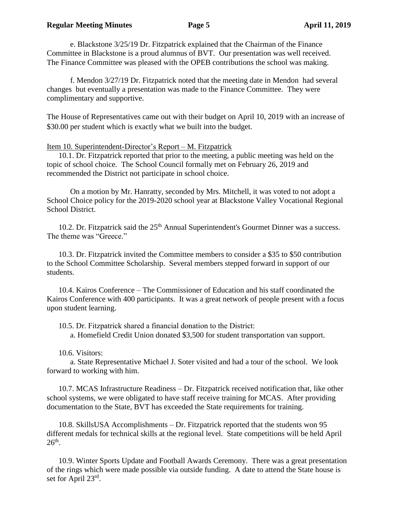e. Blackstone 3/25/19 Dr. Fitzpatrick explained that the Chairman of the Finance Committee in Blackstone is a proud alumnus of BVT. Our presentation was well received. The Finance Committee was pleased with the OPEB contributions the school was making.

f. Mendon 3/27/19 Dr. Fitzpatrick noted that the meeting date in Mendon had several changes but eventually a presentation was made to the Finance Committee. They were complimentary and supportive.

The House of Representatives came out with their budget on April 10, 2019 with an increase of \$30.00 per student which is exactly what we built into the budget.

## Item 10. Superintendent-Director's Report – M. Fitzpatrick

10.1. Dr. Fitzpatrick reported that prior to the meeting, a public meeting was held on the topic of school choice. The School Council formally met on February 26, 2019 and recommended the District not participate in school choice.

On a motion by Mr. Hanratty, seconded by Mrs. Mitchell, it was voted to not adopt a School Choice policy for the 2019-2020 school year at Blackstone Valley Vocational Regional School District.

10.2. Dr. Fitzpatrick said the 25<sup>th</sup> Annual Superintendent's Gourmet Dinner was a success. The theme was "Greece."

10.3. Dr. Fitzpatrick invited the Committee members to consider a \$35 to \$50 contribution to the School Committee Scholarship. Several members stepped forward in support of our students.

10.4. Kairos Conference – The Commissioner of Education and his staff coordinated the Kairos Conference with 400 participants. It was a great network of people present with a focus upon student learning.

10.5. Dr. Fitzpatrick shared a financial donation to the District:

a. Homefield Credit Union donated \$3,500 for student transportation van support.

10.6. Visitors:

a. State Representative Michael J. Soter visited and had a tour of the school. We look forward to working with him.

10.7. MCAS Infrastructure Readiness – Dr. Fitzpatrick received notification that, like other school systems, we were obligated to have staff receive training for MCAS. After providing documentation to the State, BVT has exceeded the State requirements for training.

10.8. SkillsUSA Accomplishments – Dr. Fitzpatrick reported that the students won 95 different medals for technical skills at the regional level. State competitions will be held April  $26<sup>th</sup>$ .

10.9. Winter Sports Update and Football Awards Ceremony. There was a great presentation of the rings which were made possible via outside funding. A date to attend the State house is set for April 23rd.